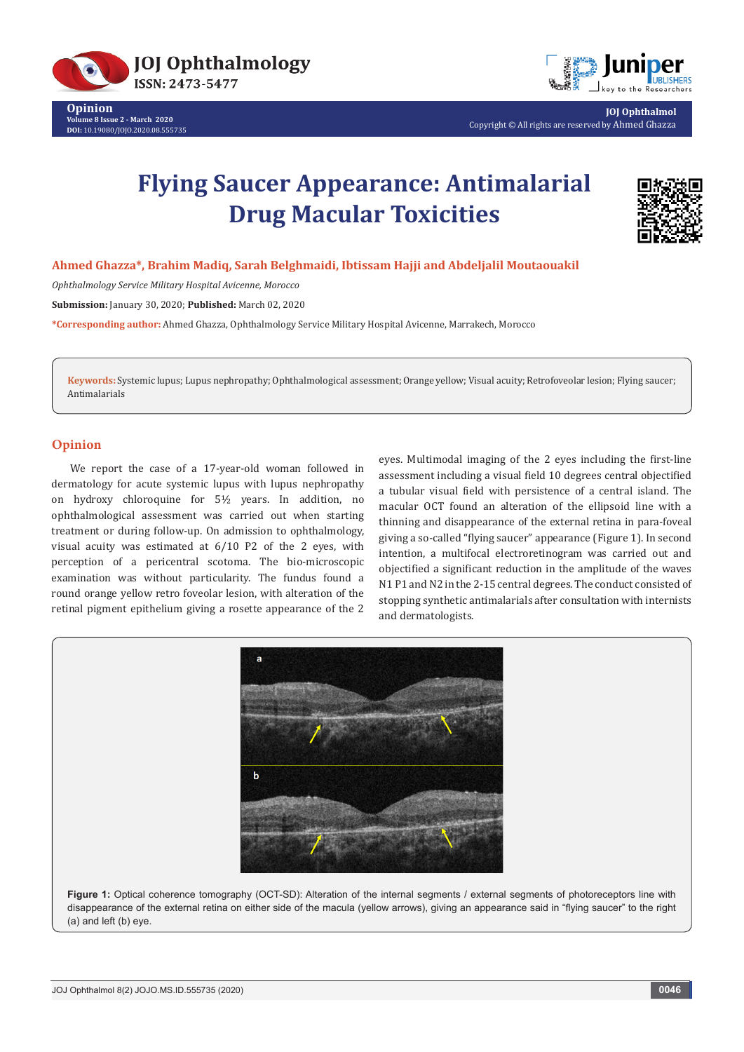



**JOJ Ophthalmol** Copyright © All rights are reserved by Ahmed Ghazza

# **Flying Saucer Appearance: Antimalarial Drug Macular Toxicities**



**Ahmed Ghazza\*, Brahim Madiq, Sarah Belghmaidi, Ibtissam Hajji and Abdeljalil Moutaouakil**

*Ophthalmology Service Military Hospital Avicenne, Morocco*

**Submission:** January 30, 2020; **Published:** March 02, 2020

**\*Corresponding author:** Ahmed Ghazza, Ophthalmology Service Military Hospital Avicenne, Marrakech, Morocco

**Keywords:** Systemic lupus; Lupus nephropathy; Ophthalmological assessment; Orange yellow; Visual acuity; Retrofoveolar lesion; Flying saucer; Antimalarials

## **Opinion**

We report the case of a 17-year-old woman followed in dermatology for acute systemic lupus with lupus nephropathy on hydroxy chloroquine for 5½ years. In addition, no ophthalmological assessment was carried out when starting treatment or during follow-up. On admission to ophthalmology, visual acuity was estimated at 6/10 P2 of the 2 eyes, with perception of a pericentral scotoma. The bio-microscopic examination was without particularity. The fundus found a round orange yellow retro foveolar lesion, with alteration of the retinal pigment epithelium giving a rosette appearance of the 2

eyes. Multimodal imaging of the 2 eyes including the first-line assessment including a visual field 10 degrees central objectified a tubular visual field with persistence of a central island. The macular OCT found an alteration of the ellipsoid line with a thinning and disappearance of the external retina in para-foveal giving a so-called "flying saucer" appearance (Figure 1). In second intention, a multifocal electroretinogram was carried out and objectified a significant reduction in the amplitude of the waves N1 P1 and N2 in the 2-15 central degrees. The conduct consisted of stopping synthetic antimalarials after consultation with internists and dermatologists.



**Figure 1:** Optical coherence tomography (OCT-SD): Alteration of the internal segments / external segments of photoreceptors line with disappearance of the external retina on either side of the macula (yellow arrows), giving an appearance said in "flying saucer" to the right (a) and left (b) eye.